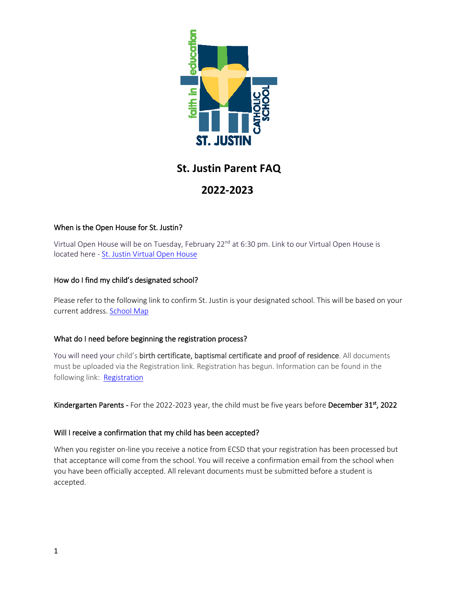

# **St. Justin Parent FAQ**

# **2022-2023**

# When is the Open House for St. Justin?

Virtual Open House will be on Tuesday, February 22<sup>nd</sup> at 6:30 pm. Link to our Virtual Open House is located here - [St. Justin Virtual Open House](https://youtu.be/hODTroXAt5E)

# How do I find my child's designated school?

Please refer to the following link to confirm St. Justin is your designated school. This will be based on your current address. [School Map](https://schoolmap.ecsd.net/NextYear.html)

### What do I need before beginning the registration process?

You will need your child's birth certificate, baptismal certificate and proof of residence. All documents must be uploaded via the Registration link. Registration has begun. Information can be found in the following link: [Registration](https://www.ecsd.net/8040/page/5816/how-to-register)

Kindergarten Parents - For the 2022-2023 year, the child must be five years before December  $31^{st}$ , 2022

# Will I receive a confirmation that my child has been accepted?

When you register on-line you receive a notice from ECSD that your registration has been processed but that acceptance will come from the school. You will receive a confirmation email from the school when you have been officially accepted. All relevant documents must be submitted before a student is accepted.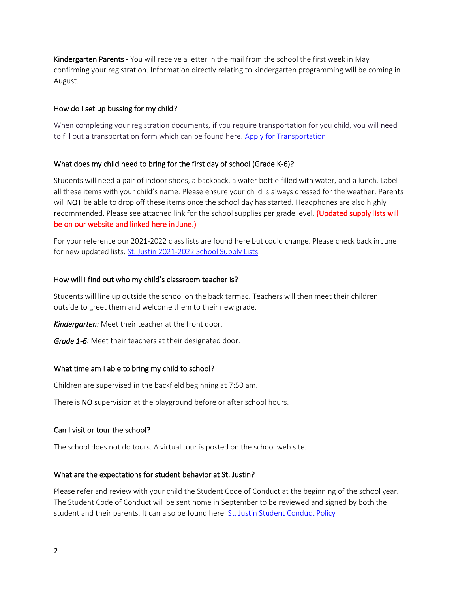**Kindergarten Parents** - You will receive a letter in the mail from the school the first week in May confirming your registration. Information directly relating to kindergarten programming will be coming in August.

#### How do I set up bussing for my child?

When completing your registration documents, if you require transportation for you child, you will need to fill out a transportation form which can be found here. [Apply for Transportation](https://www.ecsd.net/page/34573/apply-for-transportation)

#### What does my child need to bring for the first day of school (Grade K-6)?

Students will need a pair of indoor shoes, a backpack, a water bottle filled with water, and a lunch. Label all these items with your child's name. Please ensure your child is always dressed for the weather. Parents will NOT be able to drop off these items once the school day has started. Headphones are also highly recommended. Please see attached link for the school supplies per grade level. (Updated supply lists will be on our website and linked here in June.)

For your reference our 2021-2022 class lists are found here but could change. Please check back in June for new updated lists. [St. Justin 2021-2022 School Supply Lists](https://www.ecsd.net/8040/page/5830/school-supplies)

#### How will I find out who my child's classroom teacher is?

Students will line up outside the school on the back tarmac. Teachers will then meet their children outside to greet them and welcome them to their new grade.

*Kindergarten:* Meet their teacher at the front door.

*Grade 1-6:* Meet their teachers at their designated door.

#### What time am I able to bring my child to school?

Children are supervised in the backfield beginning at 7:50 am.

There is NO supervision at the playground before or after school hours.

#### Can I visit or tour the school?

The school does not do tours. A virtual tour is posted on the school web site.

#### What are the expectations for student behavior at St. Justin?

Please refer and review with your child the Student Code of Conduct at the beginning of the school year. The Student Code of Conduct will be sent home in September to be reviewed and signed by both the student and their parents. It can also be found here. [St. Justin Student Conduct Policy](https://sitegovern.ecsd.net/sbpage/edit/5836/0)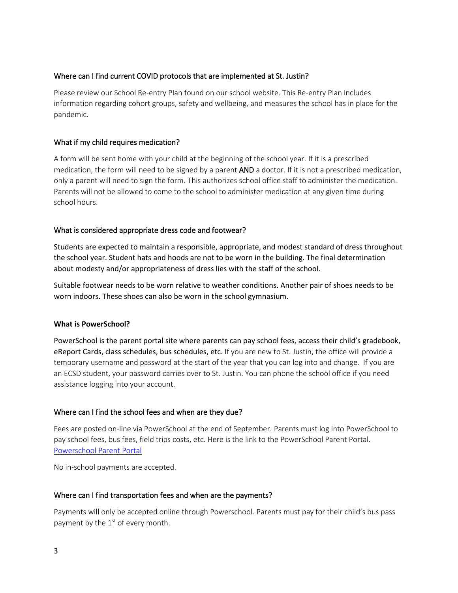#### Where can I find current COVID protocols that are implemented at St. Justin?

Please review our School Re-entry Plan found on our school website. This Re-entry Plan includes information regarding cohort groups, safety and wellbeing, and measures the school has in place for the pandemic.

#### What if my child requires medication?

A form will be sent home with your child at the beginning of the school year. If it is a prescribed medication, the form will need to be signed by a parent AND a doctor. If it is not a prescribed medication, only a parent will need to sign the form. This authorizes school office staff to administer the medication. Parents will not be allowed to come to the school to administer medication at any given time during school hours.

#### What is considered appropriate dress code and footwear?

Students are expected to maintain a responsible, appropriate, and modest standard of dress throughout the school year. Student hats and hoods are not to be worn in the building. The final determination about modesty and/or appropriateness of dress lies with the staff of the school.

Suitable footwear needs to be worn relative to weather conditions. Another pair of shoes needs to be worn indoors. These shoes can also be worn in the school gymnasium.

#### **What is PowerSchool?**

PowerSchool is the parent portal site where parents can pay school fees, access their child's gradebook, eReport Cards, class schedules, bus schedules, etc. If you are new to St. Justin, the office will provide a temporary username and password at the start of the year that you can log into and change. If you are an ECSD student, your password carries over to St. Justin. You can phone the school office if you need assistance logging into your account.

#### Where can I find the school fees and when are they due?

Fees are posted on-line via PowerSchool at the end of September. Parents must log into PowerSchool to pay school fees, bus fees, field trips costs, etc. Here is the link to the PowerSchool Parent Portal. [Powerschool Parent Portal](https://powerschool.ecsd.net/public/)

No in-school payments are accepted.

#### Where can I find transportation fees and when are the payments?

Payments will only be accepted online through Powerschool. Parents must pay for their child's bus pass payment by the  $1<sup>st</sup>$  of every month.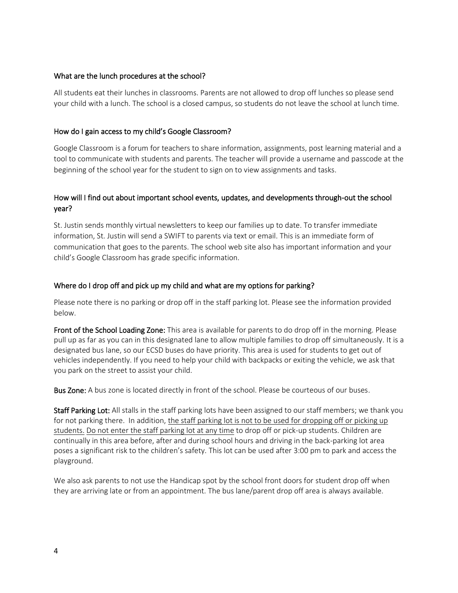#### What are the lunch procedures at the school?

All students eat their lunches in classrooms. Parents are not allowed to drop off lunches so please send your child with a lunch. The school is a closed campus, so students do not leave the school at lunch time.

#### How do I gain access to my child's Google Classroom?

Google Classroom is a forum for teachers to share information, assignments, post learning material and a tool to communicate with students and parents. The teacher will provide a username and passcode at the beginning of the school year for the student to sign on to view assignments and tasks.

### How will I find out about important school events, updates, and developments through-out the school year?

St. Justin sends monthly virtual newsletters to keep our families up to date. To transfer immediate information, St. Justin will send a SWIFT to parents via text or email. This is an immediate form of communication that goes to the parents. The school web site also has important information and your child's Google Classroom has grade specific information.

#### Where do I drop off and pick up my child and what are my options for parking?

Please note there is no parking or drop off in the staff parking lot. Please see the information provided below.

Front of the School Loading Zone: This area is available for parents to do drop off in the morning. Please pull up as far as you can in this designated lane to allow multiple families to drop off simultaneously. It is a designated bus lane, so our ECSD buses do have priority. This area is used for students to get out of vehicles independently. If you need to help your child with backpacks or exiting the vehicle, we ask that you park on the street to assist your child.

Bus Zone: A bus zone is located directly in front of the school. Please be courteous of our buses.

Staff Parking Lot: All stalls in the staff parking lots have been assigned to our staff members; we thank you for not parking there. In addition, the staff parking lot is not to be used for dropping off or picking up students. Do not enter the staff parking lot at any time to drop off or pick-up students. Children are continually in this area before, after and during school hours and driving in the back-parking lot area poses a significant risk to the children's safety. This lot can be used after 3:00 pm to park and access the playground.

We also ask parents to not use the Handicap spot by the school front doors for student drop off when they are arriving late or from an appointment. The bus lane/parent drop off area is always available.